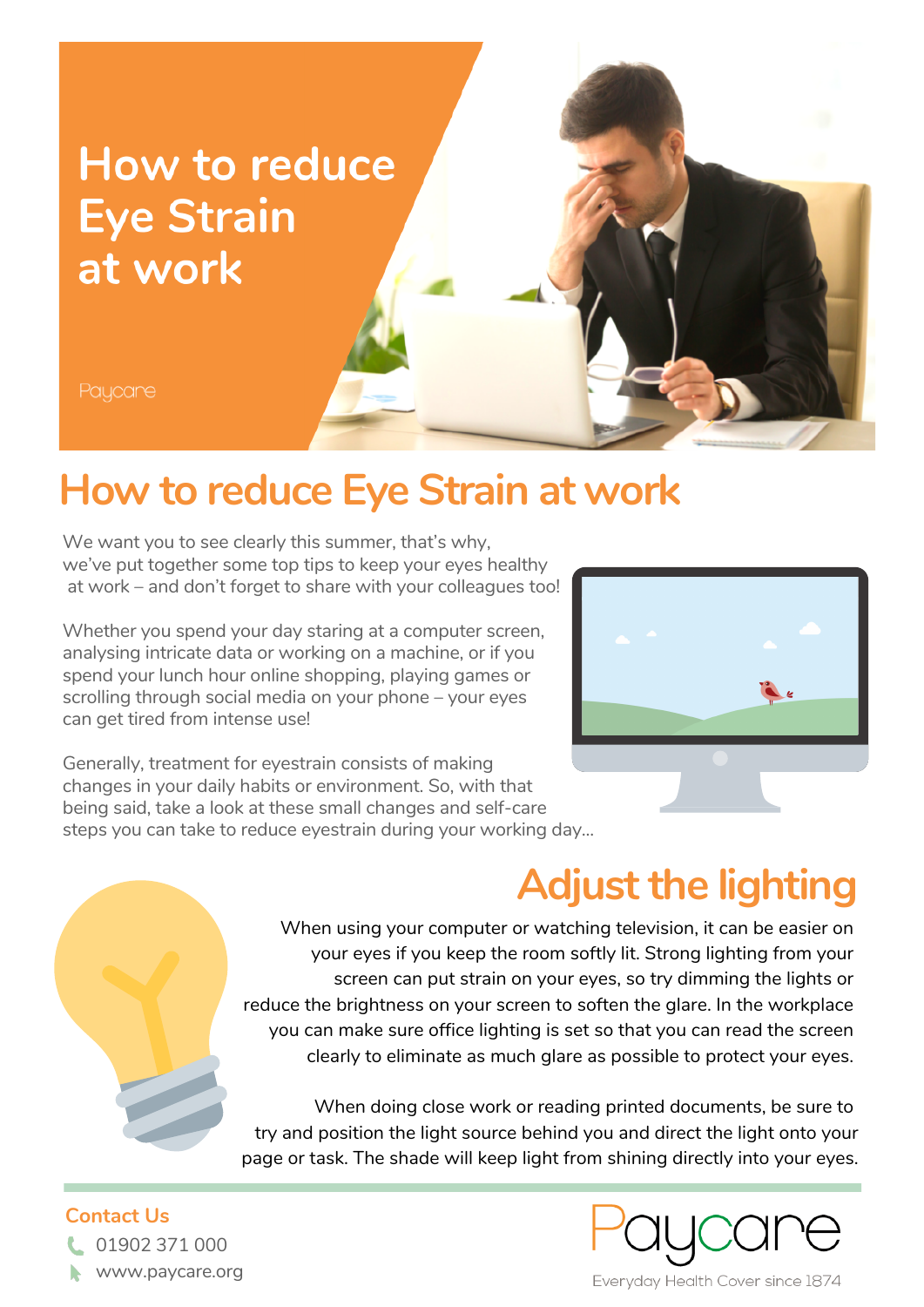

### **How to reduce Eye Strain at work**

We want you to see clearly this summer, that's why, we've put together some top tips to keep your eyes healthy at work – and don't forget to share with your colleagues too!

Whether you spend your day staring at a computer screen, analysing intricate data or working on a machine, or if you spend your lunch hour online shopping, playing games or scrolling through social media on your phone – your eyes can get tired from intense use!

Generally, treatment for eyestrain consists of making changes in your daily habits or environment. So, with that being said, take a look at these small changes and self-care steps you can take to reduce eyestrain during your working day...



# **Adjust the lighting**

When using your computer or watching television, it can be easier on your eyes if you keep the room softly lit. Strong lighting from your screen can put strain on your eyes, so try dimming the lights or reduce the brightness on your screen to soften the glare. In the workplace you can make sure office lighting is set so that you can read the screen clearly to eliminate as much glare as possible to protect your eyes.

When doing close work or reading printed documents, be sure to try and position the light source behind you and direct the light onto your page or task. The shade will keep light from shining directly into your eyes.

### **Contact Us**

01902 371 000 www.paycare.org

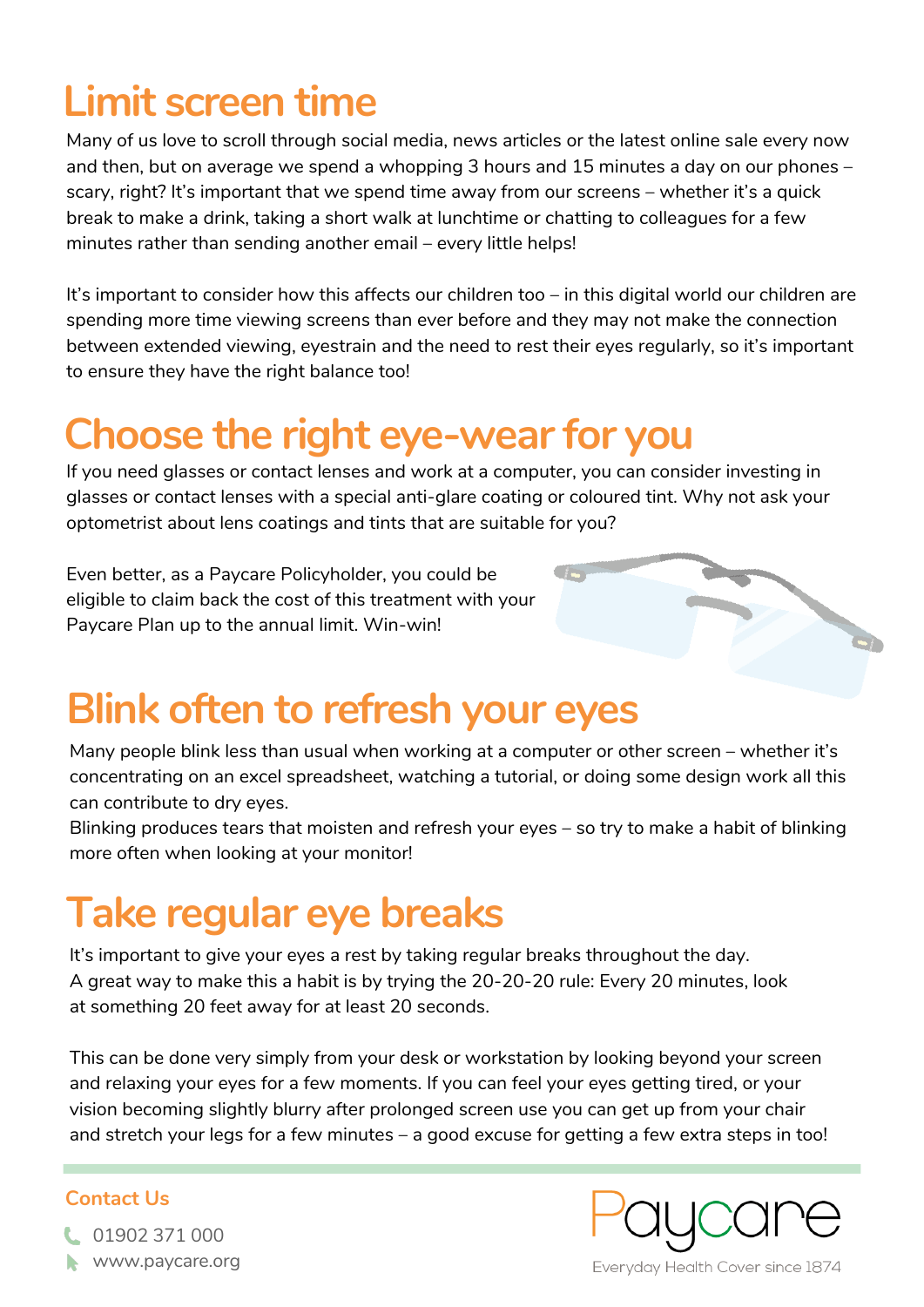## **Limit screen time**

Many of us love to scroll through social media, news articles or the latest online sale every now and then, but on average we spend a whopping 3 hours and 15 minutes a day on our phones – scary, right? It's important that we spend time away from our screens – whether it's a quick break to make a drink, taking a short walk at lunchtime or chatting to colleagues for a few minutes rather than sending another email – every little helps!

It's important to consider how this affects our children too – in this digital world our children are spending more time viewing screens than ever before and they may not make the connection between extended viewing, eyestrain and the need to rest their eyes regularly, so it's important to ensure they have the right balance too!

## **Choose the right eye-wear for you**

If you need glasses or contact lenses and work at a computer, you can consider investing in glasses or contact lenses with a special anti-glare coating or coloured tint. Why not ask your optometrist about lens coatings and tints that are suitable for you?

Even better, as a Paycare Policyholder, you could be eligible to claim back the cost of this treatment with your Paycare Plan up to the annual limit. Win-win!

# **Blink often to refresh your eyes**

Many people blink less than usual when working at a computer or other screen – whether it's concentrating on an excel spreadsheet, watching a tutorial, or doing some design work all this can contribute to dry eyes.

Blinking produces tears that moisten and refresh your eyes – so try to make a habit of blinking more often when looking at your monitor!

## **Take regular eye breaks**

It's important to give your eyes a rest by taking regular breaks throughout the day. A great way to make this a habit is by trying the 20-20-20 rule: Every 20 minutes, look at something 20 feet away for at least 20 seconds.

This can be done very simply from your desk or workstation by looking beyond your screen and relaxing your eyes for a few moments. If you can feel your eyes getting tired, or your vision becoming slightly blurry after prolonged screen use you can get up from your chair and stretch your legs for a few minutes – a good excuse for getting a few extra steps in too!

### **Contact Us**





Everyday Health Cover since 1874

01902 371 000 www.paycare.org